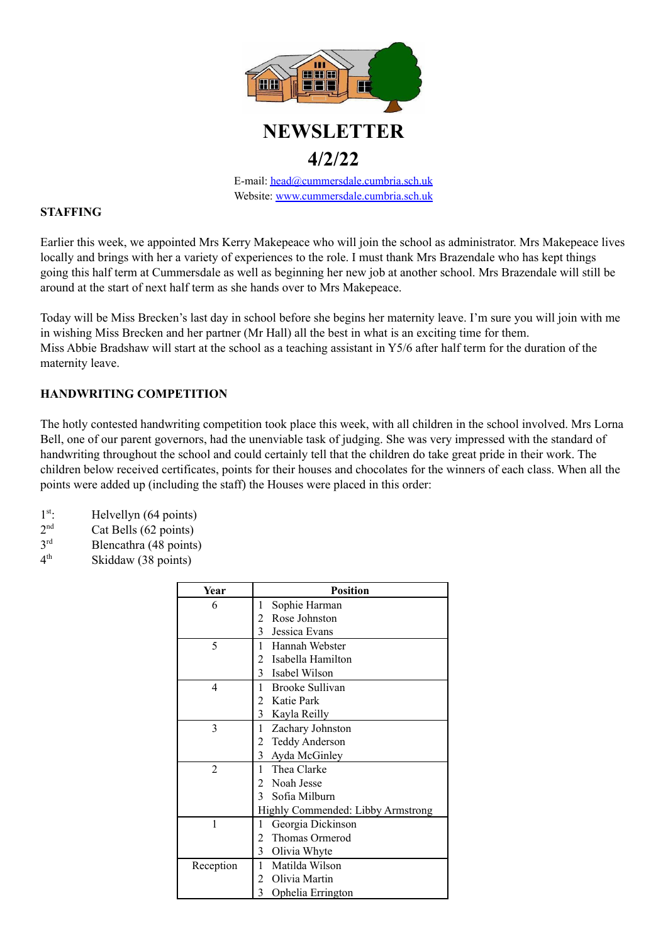

# **NEWSLETTER**

# **4/2/22**

E-mail: [head@cummersdale.cumbria.sch.uk](mailto:head@cummersdale.cumbria.sch.uk) Website: [www.cummersdale.cumbria.sch.uk](http://www.cummersdale.cumbria.sch.uk)

# **STAFFING**

Earlier this week, we appointed Mrs Kerry Makepeace who will join the school as administrator. Mrs Makepeace lives locally and brings with her a variety of experiences to the role. I must thank Mrs Brazendale who has kept things going this half term at Cummersdale as well as beginning her new job at another school. Mrs Brazendale will still be around at the start of next half term as she hands over to Mrs Makepeace.

Today will be Miss Brecken's last day in school before she begins her maternity leave. I'm sure you will join with me in wishing Miss Brecken and her partner (Mr Hall) all the best in what is an exciting time for them. Miss Abbie Bradshaw will start at the school as a teaching assistant in Y5/6 after half term for the duration of the maternity leave.

# **HANDWRITING COMPETITION**

The hotly contested handwriting competition took place this week, with all children in the school involved. Mrs Lorna Bell, one of our parent governors, had the unenviable task of judging. She was very impressed with the standard of handwriting throughout the school and could certainly tell that the children do take great pride in their work. The children below received certificates, points for their houses and chocolates for the winners of each class. When all the points were added up (including the staff) the Houses were placed in this order:

- 1 st Helvellyn (64 points)
- $2<sub>nd</sub>$ Cat Bells (62 points)
- 3rd Blencathra (48 points)
- $4<sup>th</sup>$ Skiddaw (38 points)

| Year      | <b>Position</b>                     |
|-----------|-------------------------------------|
| 6         | 1<br>Sophie Harman                  |
|           | $\mathbf{2}$<br>Rose Johnston       |
|           | 3 Jessica Evans                     |
| 5         | Hannah Webster<br>$\mathbf{1}$      |
|           | 2 Isabella Hamilton                 |
|           | 3 Isabel Wilson                     |
| 4         | <b>Brooke Sullivan</b><br>1.        |
|           | 2 Katie Park                        |
|           | 3 Kayla Reilly                      |
| 3         | Zachary Johnston<br>1               |
|           | 2 Teddy Anderson                    |
|           | $\mathfrak{Z}$<br>Ayda McGinley     |
| 2         | 1 Thea Clarke                       |
|           | 2 Noah Jesse                        |
|           | 3 Sofia Milburn                     |
|           | Highly Commended: Libby Armstrong   |
| 1         | Georgia Dickinson<br>1              |
|           | 2 Thomas Ormerod                    |
|           | $\overline{3}$<br>Olivia Whyte      |
| Reception | Matilda Wilson<br>1                 |
|           | 2 Olivia Martin                     |
|           | $\overline{3}$<br>Ophelia Errington |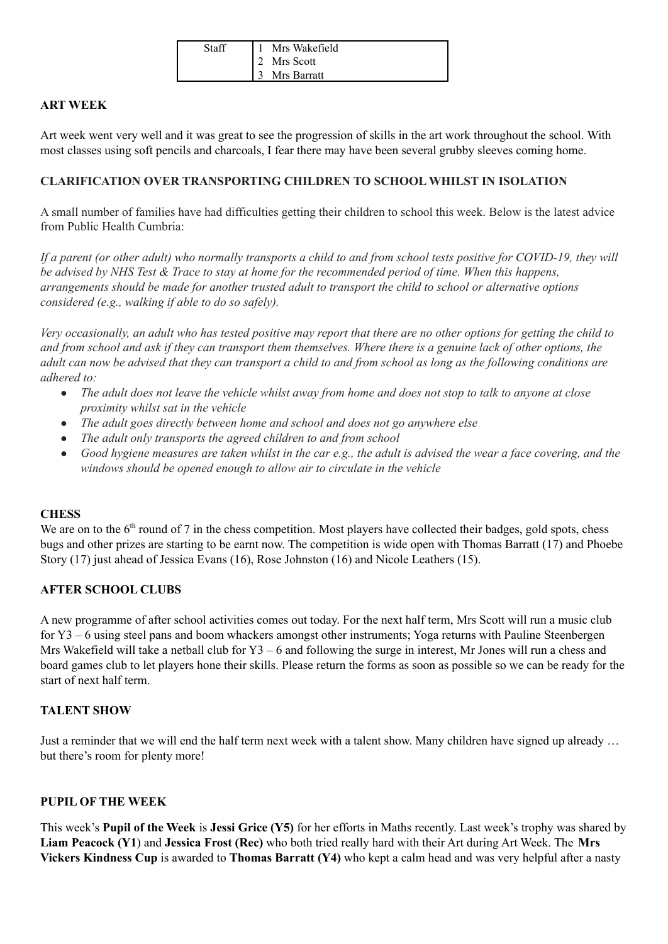| Staff | Mrs Wakefield |
|-------|---------------|
|       | Mrs Scott     |
|       | Mrs Barratt   |

## **ART WEEK**

Art week went very well and it was great to see the progression of skills in the art work throughout the school. With most classes using soft pencils and charcoals, I fear there may have been several grubby sleeves coming home.

#### **CLARIFICATION OVER TRANSPORTING CHILDREN TO SCHOOL WHILST IN ISOLATION**

A small number of families have had difficulties getting their children to school this week. Below is the latest advice from Public Health Cumbria:

If a parent (or other adult) who normally transports a child to and from school tests positive for COVID-19, they will be advised by NHS Test & Trace to stay at home for the recommended period of time. When this happens, arrangements should be made for another trusted adult to transport the child to school or alternative options *considered (e.g., walking if able to do so safely).*

Very occasionally, an adult who has tested positive may report that there are no other options for getting the child to and from school and ask if they can transport them themselves. Where there is a genuine lack of other options, the adult can now be advised that they can transport a child to and from school as long as the following conditions are *adhered to:*

- The adult does not leave the vehicle whilst away from home and does not stop to talk to anyone at close *proximity whilst sat in the vehicle*
- *● The adult goes directly between home and school and does not go anywhere else*
- *● The adult only transports the agreed children to and from school*
- Good hygiene measures are taken whilst in the car e.g., the adult is advised the wear a face covering, and the *windows should be opened enough to allow air to circulate in the vehicle*

#### **CHESS**

We are on to the  $6<sup>th</sup>$  round of 7 in the chess competition. Most players have collected their badges, gold spots, chess bugs and other prizes are starting to be earnt now. The competition is wide open with Thomas Barratt (17) and Phoebe Story (17) just ahead of Jessica Evans (16), Rose Johnston (16) and Nicole Leathers (15).

## **AFTER SCHOOL CLUBS**

A new programme of after school activities comes out today. For the next half term, Mrs Scott will run a music club for Y3 – 6 using steel pans and boom whackers amongst other instruments; Yoga returns with Pauline Steenbergen Mrs Wakefield will take a netball club for Y3 – 6 and following the surge in interest, Mr Jones will run a chess and board games club to let players hone their skills. Please return the forms as soon as possible so we can be ready for the start of next half term.

#### **TALENT SHOW**

Just a reminder that we will end the half term next week with a talent show. Many children have signed up already … but there's room for plenty more!

#### **PUPIL OF THE WEEK**

This week's **Pupil of the Week** is **Jessi Grice (Y5)** for her efforts in Maths recently. Last week's trophy was shared by **Liam Peacock (Y1**) and **Jessica Frost (Rec)** who both tried really hard with their Art during Art Week. The **Mrs Vickers Kindness Cup** is awarded to **Thomas Barratt (Y4)** who kept a calm head and was very helpful after a nasty